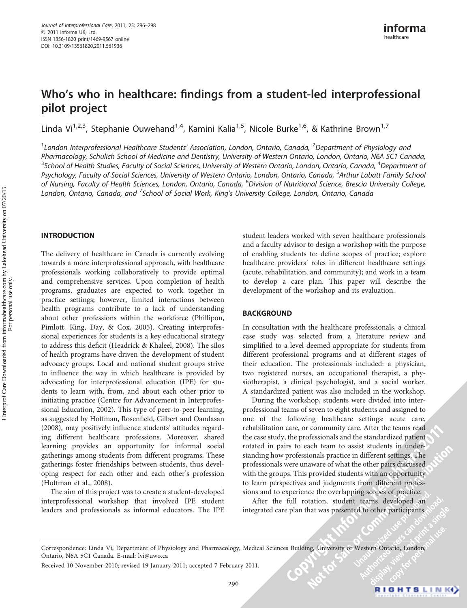# Who's who in healthcare: findings from a student-led interprofessional pilot project

Linda Vi<sup>1,2,3</sup>, Stephanie Ouwehand<sup>1,4</sup>, Kamini Kalia<sup>1,5</sup>, Nicole Burke<sup>1,6</sup>, & Kathrine Brown<sup>1,7</sup>

<sup>1</sup>London Interprofessional Healthcare Students' Association, London, Ontario, Canada, <sup>2</sup>Department of Physiology and Pharmacology, Schulich School of Medicine and Dentistry, University of Western Ontario, London, Ontario, N6A 5C1 Canada,  $^3$ School of Health Studies, Faculty of Social Sciences, University of Western Ontario, London, Ontario, Canada,  $^4$ Department of Psychology, Faculty of Social Sciences, University of Western Ontario, London, Ontario, Canada, <sup>5</sup>Arthur Labatt Family School of Nursing, Faculty of Health Sciences, London, Ontario, Canada, <sup>6</sup>Division of Nutritional Science, Brescia University College, London, Ontario, Canada, and <sup>7</sup>School of Social Work, King's University College, London, Ontario, Canada

# INTRODUCTION

The delivery of healthcare in Canada is currently evolving towards a more interprofessional approach, with healthcare professionals working collaboratively to provide optimal and comprehensive services. Upon completion of health programs, graduates are expected to work together in practice settings; however, limited interactions between health programs contribute to a lack of understanding about other professions within the workforce (Phillipon, Pimlott, King, Day, & Cox, 2005). Creating interprofessional experiences for students is a key educational strategy to address this deficit (Headrick & Khaleel, 2008). The silos of health programs have driven the development of student advocacy groups. Local and national student groups strive to influence the way in which healthcare is provided by advocating for interprofessional education (IPE) for students to learn with, from, and about each other prior to initiating practice (Centre for Advancement in Interprofessional Education, 2002). This type of peer-to-peer learning, as suggested by Hoffman, Rosenfield, Gilbert and Oandasan (2008), may positively influence students' attitudes regarding different healthcare professions. Moreover, shared learning provides an opportunity for informal social gatherings among students from different programs. These gatherings foster friendships between students, thus developing respect for each other and each other's profession (Hoffman et al., 2008).

The aim of this project was to create a student-developed interprofessional workshop that involved IPE student leaders and professionals as informal educators. The IPE student leaders worked with seven healthcare professionals and a faculty advisor to design a workshop with the purpose of enabling students to: define scopes of practice; explore healthcare providers' roles in different healthcare settings (acute, rehabilitation, and community); and work in a team to develop a care plan. This paper will describe the development of the workshop and its evaluation.

## **BACKGROUND**

In consultation with the healthcare professionals, a clinical case study was selected from a literature review and simplified to a level deemed appropriate for students from different professional programs and at different stages of their education. The professionals included: a physician, two registered nurses, an occupational therapist, a physiotherapist, a clinical psychologist, and a social worker. A standardized patient was also included in the workshop.

During the workshop, students were divided into interprofessional teams of seven to eight students and assigned to one of the following healthcare settings: acute care, rehabilitation care, or community care. After the teams read the case study, the professionals and the standardized patient rotated in pairs to each team to assist students in understanding how professionals practice in different settings. The professionals were unaware of what the other pairs discussed with the groups. This provided students with an opportunity to learn perspectives and judgments from different professions and to experience the overlapping scopes of practice.

After the full rotation, student teams developed an integrated care plan that was presented to other participants.

Correspondence: Linda Vi, Department of Physiology and Pharmacology, Medical Sciences Building, University of Western Ontario, London, Ontario, N6A 5C1 Canada. E-mail: lvi@uwo.ca

Received 10 November 2010; revised 19 January 2011; accepted 7 February 2011.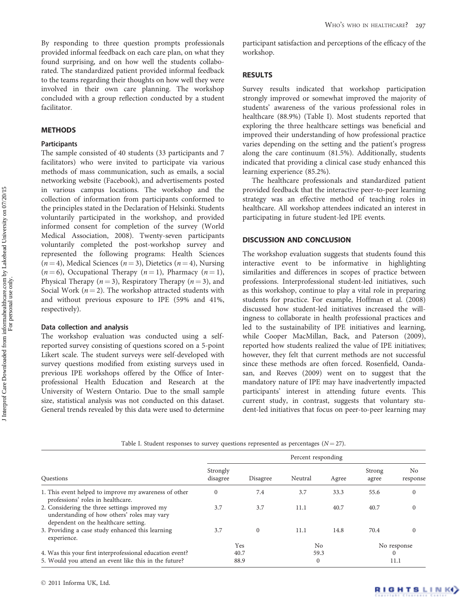By responding to three question prompts professionals provided informal feedback on each care plan, on what they found surprising, and on how well the students collaborated. The standardized patient provided informal feedback to the teams regarding their thoughts on how well they were involved in their own care planning. The workshop concluded with a group reflection conducted by a student facilitator.

# **METHODS**

### **Participants**

The sample consisted of 40 students (33 participants and 7 facilitators) who were invited to participate via various methods of mass communication, such as emails, a social networking website (Facebook), and advertisements posted in various campus locations. The workshop and the collection of information from participants conformed to the principles stated in the Declaration of Helsinki. Students voluntarily participated in the workshop, and provided informed consent for completion of the survey (World Medical Association, 2008). Twenty-seven participants voluntarily completed the post-workshop survey and represented the following programs: Health Sciences  $(n = 4)$ , Medical Sciences  $(n = 3)$ , Dietetics  $(n = 4)$ , Nursing  $(n = 6)$ , Occupational Therapy  $(n = 1)$ , Pharmacy  $(n = 1)$ , Physical Therapy ( $n = 3$ ), Respiratory Therapy ( $n = 3$ ), and Social Work ( $n = 2$ ). The workshop attracted students with and without previous exposure to IPE (59% and 41%, respectively).

#### Data collection and analysis

The workshop evaluation was conducted using a selfreported survey consisting of questions scored on a 5-point Likert scale. The student surveys were self-developed with survey questions modified from existing surveys used in previous IPE workshops offered by the Office of Interprofessional Health Education and Research at the University of Western Ontario. Due to the small sample size, statistical analysis was not conducted on this dataset. General trends revealed by this data were used to determine

participant satisfaction and perceptions of the efficacy of the workshop.

#### RESULTS

Survey results indicated that workshop participation strongly improved or somewhat improved the majority of students' awareness of the various professional roles in healthcare (88.9%) (Table I). Most students reported that exploring the three healthcare settings was beneficial and improved their understanding of how professional practice varies depending on the setting and the patient's progress along the care continuum (81.5%). Additionally, students indicated that providing a clinical case study enhanced this learning experience (85.2%).

The healthcare professionals and standardized patient provided feedback that the interactive peer-to-peer learning strategy was an effective method of teaching roles in healthcare. All workshop attendees indicated an interest in participating in future student-led IPE events.

## DISCUSSION AND CONCLUSION

The workshop evaluation suggests that students found this interactive event to be informative in highlighting similarities and differences in scopes of practice between professions. Interprofessional student-led initiatives, such as this workshop, continue to play a vital role in preparing students for practice. For example, Hoffman et al. (2008) discussed how student-led initiatives increased the willingness to collaborate in health professional practices and led to the sustainability of IPE initiatives and learning, while Cooper MacMillan, Back, and Paterson (2009), reported how students realized the value of IPE initiatives; however, they felt that current methods are not successful since these methods are often forced. Rosenfield, Oandasan, and Reeves (2009) went on to suggest that the mandatory nature of IPE may have inadvertently impacted participants' interest in attending future events. This current study, in contrast, suggests that voluntary student-led initiatives that focus on peer-to-peer learning may

|  |  |  |  |  |  |  |  |  | Table I. Student responses to survey questions represented as percentages $(N=27)$ . |  |  |  |
|--|--|--|--|--|--|--|--|--|--------------------------------------------------------------------------------------|--|--|--|
|--|--|--|--|--|--|--|--|--|--------------------------------------------------------------------------------------|--|--|--|

|                                                                                                                                      | Percent responding   |          |              |       |                 |                            |  |  |
|--------------------------------------------------------------------------------------------------------------------------------------|----------------------|----------|--------------|-------|-----------------|----------------------------|--|--|
| Questions                                                                                                                            | Strongly<br>disagree | Disagree | Neutral      | Agree | Strong<br>agree | N <sub>o</sub><br>response |  |  |
| 1. This event helped to improve my awareness of other<br>professions' roles in healthcare.                                           | $\Omega$             | 7.4      | 3.7          | 33.3  | 55.6            | $\Omega$                   |  |  |
| 2. Considering the three settings improved my<br>understanding of how others' roles may vary<br>dependent on the healthcare setting. | 3.7                  | 3.7      | 11.1         | 40.7  | 40.7            | $\mathbf{0}$               |  |  |
| 3. Providing a case study enhanced this learning<br>experience.                                                                      | 3.7                  | $\Omega$ | 11.1         | 14.8  | 70.4            | $\Omega$                   |  |  |
|                                                                                                                                      | Yes                  |          | No           |       | No response     |                            |  |  |
| 4. Was this your first interprofessional education event?                                                                            | 40.7                 |          | 59.3         |       | $\Omega$        |                            |  |  |
| 5. Would you attend an event like this in the future?                                                                                | 88.9                 |          | $\mathbf{0}$ |       | 11.1            |                            |  |  |